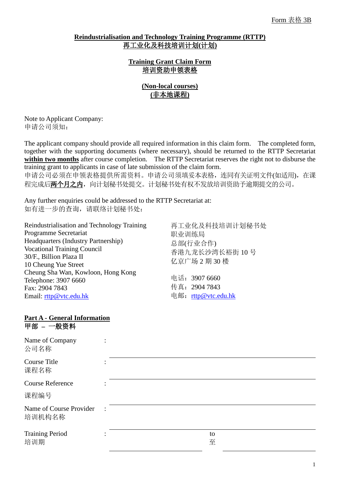### **Reindustrialisation and Technology Training Programme (RTTP)** 再工业化及科技培训计划**(**计划**)**

**Training Grant Claim Form** 培训资助申领表格

> **(Non-local courses) (**非本地课程**)**

Note to Applicant Company: 申请公司须知:

The applicant company should provide all required information in this claim form. The completed form, together with the supporting documents (where necessary), should be returned to the RTTP Secretariat **within two months** after course completion. The RTTP Secretariat reserves the right not to disburse the training grant to applicants in case of late submission of the claim form.

申请公司必须在申领表格提供所需资料。申请公司须填妥本表格,连同有关证明文件(如适用),在课 程完成后两个月之内,向计划秘书处提交。计划秘书处有权不发放培训资助予逾期提交的公司。

Any further enquiries could be addressed to the RTTP Secretariat at: 如有进一步的查询,请联络计划秘书处:

Reindustrialisation and Technology Training Programme Secretariat Headquarters (Industry Partnership) Vocational Training Council 30/F., Billion Plaza II 10 Cheung Yue Street Cheung Sha Wan, Kowloon, Hong Kong Telephone: 3907 6660 Fax: 2904 7843 Email: [rttp@vtc.edu.hk](mailto:rttp@vtc.edu.hk)

再工业化及科技培训计划秘书处 职业训练局 总部(行业合作) 香港九龙长沙湾长裕街 10 号 亿京广场 2 期 30 楼

电话:3907 6660 传真:2904 7843 电邮: [rttp@vtc.edu.hk](mailto:rttp@vtc.edu.hk)

#### **Part A - General Information** 甲部 **–** 一般资料

| Name of Company<br>公司名称           | ٠              |         |
|-----------------------------------|----------------|---------|
| Course Title<br>课程名称              |                |         |
| <b>Course Reference</b>           |                |         |
| 课程编号                              |                |         |
| Name of Course Provider<br>培训机构名称 | $\ddot{\cdot}$ |         |
| <b>Training Period</b><br>培训期     |                | to<br>至 |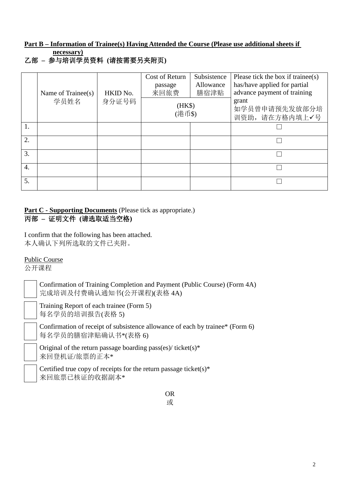# **Part B – Information of Trainee(s) Having Attended the Course (Please use additional sheets if necessary)**

乙部 **–** 参与培训学员资料 **(**请按需要另夹附页**)**

|    | Name of Trainee(s) | HKID No. | Cost of Return<br>passage<br>来回旅费 | Subsistence<br>Allowance<br>膳宿津贴 | Please tick the box if trainee(s)<br>has/have applied for partial<br>advance payment of training |
|----|--------------------|----------|-----------------------------------|----------------------------------|--------------------------------------------------------------------------------------------------|
|    | 学员姓名               | 身分证号码    | (HK\$)<br>(港币\$)                  |                                  | grant<br>如学员曾申请预先发放部分培<br>训资助,请在方格内填上√号                                                          |
| 1. |                    |          |                                   |                                  |                                                                                                  |
| 2. |                    |          |                                   |                                  |                                                                                                  |
| 3. |                    |          |                                   |                                  |                                                                                                  |
| 4. |                    |          |                                   |                                  |                                                                                                  |
| 5. |                    |          |                                   |                                  |                                                                                                  |

## **Part C - Supporting Documents** (Please tick as appropriate.) 丙部 **–** 证明文件 **(**请选取适当空格**)**

I confirm that the following has been attached. 本人确认下列所选取的文件已夹附。

# Public Course

公开课程

Confirmation of Training Completion and Payment (Public Course) (Form 4A) 完成培训及付费确认通知书(公开课程)(表格 4A)

Training Report of each trainee (Form 5) 每名学员的培训报告(表格 5)

Confirmation of receipt of subsistence allowance of each by trainee\* (Form 6) 每名学员的膳宿津贴确认书\*(表格 6)

Original of the return passage boarding pass(es)/ $t$ icket(s)\* 来回登机证/旅票的正本\*

Certified true copy of receipts for the return passage ticket(s)\* 来回旅票已核证的收据副本\*

> OR 或